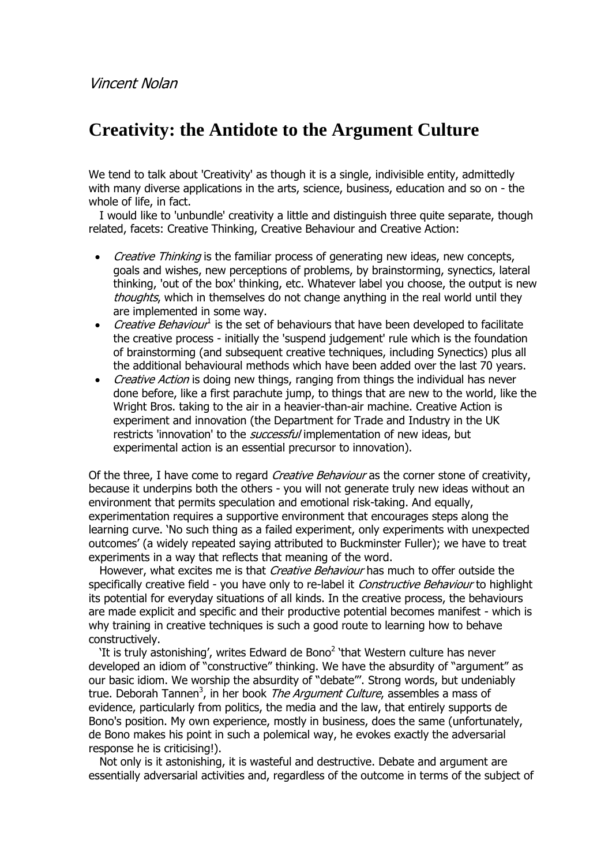## **Creativity: the Antidote to the Argument Culture**

We tend to talk about 'Creativity' as though it is a single, indivisible entity, admittedly with many diverse applications in the arts, science, business, education and so on - the whole of life, in fact.

 I would like to 'unbundle' creativity a little and distinguish three quite separate, though related, facets: Creative Thinking, Creative Behaviour and Creative Action:

- Creative Thinking is the familiar process of generating new ideas, new concepts, goals and wishes, new perceptions of problems, by brainstorming, synectics, lateral thinking, 'out of the box' thinking, etc. Whatever label you choose, the output is new thoughts, which in themselves do not change anything in the real world until they are implemented in some way.
- Creative Behaviour<sup>1</sup> is the set of behaviours that have been developed to facilitate the creative process - initially the 'suspend judgement' rule which is the foundation of brainstorming (and subsequent creative techniques, including Synectics) plus all the additional behavioural methods which have been added over the last 70 years.
- Creative Action is doing new things, ranging from things the individual has never done before, like a first parachute jump, to things that are new to the world, like the Wright Bros. taking to the air in a heavier-than-air machine. Creative Action is experiment and innovation (the Department for Trade and Industry in the UK restricts 'innovation' to the *successful* implementation of new ideas, but experimental action is an essential precursor to innovation).

Of the three, I have come to regard *Creative Behaviour* as the corner stone of creativity, because it underpins both the others - you will not generate truly new ideas without an environment that permits speculation and emotional risk-taking. And equally, experimentation requires a supportive environment that encourages steps along the learning curve. 'No such thing as a failed experiment, only experiments with unexpected outcomes' (a widely repeated saying attributed to Buckminster Fuller); we have to treat experiments in a way that reflects that meaning of the word.

However, what excites me is that *Creative Behaviour* has much to offer outside the specifically creative field - you have only to re-label it *Constructive Behaviour* to highlight its potential for everyday situations of all kinds. In the creative process, the behaviours are made explicit and specific and their productive potential becomes manifest - which is why training in creative techniques is such a good route to learning how to behave constructively.

'It is truly astonishing', writes Edward de Bono<sup>2</sup> 'that Western culture has never developed an idiom of "constructive" thinking. We have the absurdity of "argument" as our basic idiom. We worship the absurdity of "debate"'. Strong words, but undeniably true. Deborah Tannen<sup>3</sup>, in her book *The Argument Culture*, assembles a mass of evidence, particularly from politics, the media and the law, that entirely supports de Bono's position. My own experience, mostly in business, does the same (unfortunately, de Bono makes his point in such a polemical way, he evokes exactly the adversarial response he is criticising!).

 Not only is it astonishing, it is wasteful and destructive. Debate and argument are essentially adversarial activities and, regardless of the outcome in terms of the subject of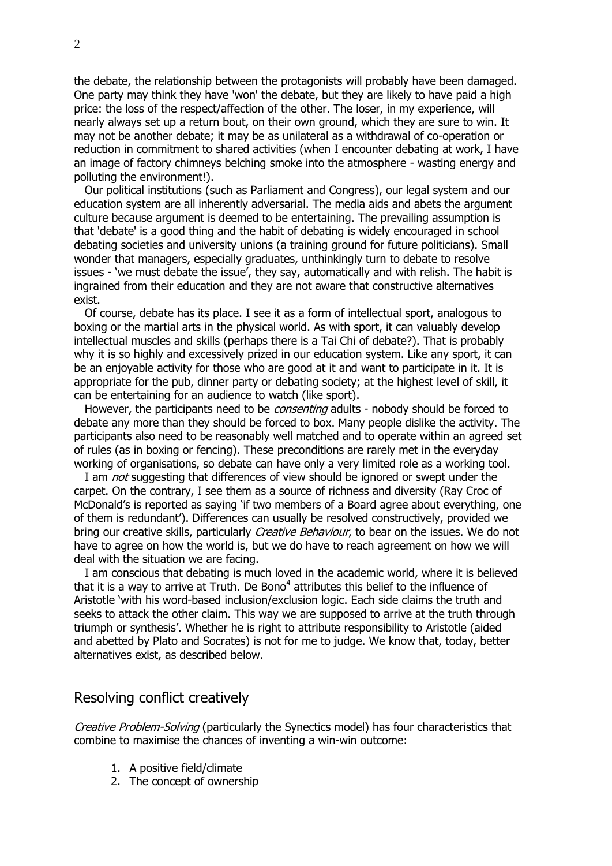the debate, the relationship between the protagonists will probably have been damaged. One party may think they have 'won' the debate, but they are likely to have paid a high price: the loss of the respect/affection of the other. The loser, in my experience, will nearly always set up a return bout, on their own ground, which they are sure to win. It may not be another debate; it may be as unilateral as a withdrawal of co-operation or reduction in commitment to shared activities (when I encounter debating at work, I have an image of factory chimneys belching smoke into the atmosphere - wasting energy and polluting the environment!).

 Our political institutions (such as Parliament and Congress), our legal system and our education system are all inherently adversarial. The media aids and abets the argument culture because argument is deemed to be entertaining. The prevailing assumption is that 'debate' is a good thing and the habit of debating is widely encouraged in school debating societies and university unions (a training ground for future politicians). Small wonder that managers, especially graduates, unthinkingly turn to debate to resolve issues - 'we must debate the issue', they say, automatically and with relish. The habit is ingrained from their education and they are not aware that constructive alternatives exist.

 Of course, debate has its place. I see it as a form of intellectual sport, analogous to boxing or the martial arts in the physical world. As with sport, it can valuably develop intellectual muscles and skills (perhaps there is a Tai Chi of debate?). That is probably why it is so highly and excessively prized in our education system. Like any sport, it can be an enjoyable activity for those who are good at it and want to participate in it. It is appropriate for the pub, dinner party or debating society; at the highest level of skill, it can be entertaining for an audience to watch (like sport).

However, the participants need to be *consenting* adults - nobody should be forced to debate any more than they should be forced to box. Many people dislike the activity. The participants also need to be reasonably well matched and to operate within an agreed set of rules (as in boxing or fencing). These preconditions are rarely met in the everyday working of organisations, so debate can have only a very limited role as a working tool.

I am *not* suggesting that differences of view should be ignored or swept under the carpet. On the contrary, I see them as a source of richness and diversity (Ray Croc of McDonald's is reported as saying 'if two members of a Board agree about everything, one of them is redundant'). Differences can usually be resolved constructively, provided we bring our creative skills, particularly Creative Behaviour, to bear on the issues. We do not have to agree on how the world is, but we do have to reach agreement on how we will deal with the situation we are facing.

 I am conscious that debating is much loved in the academic world, where it is believed that it is a way to arrive at Truth. De Bono $^4$  attributes this belief to the influence of Aristotle 'with his word-based inclusion/exclusion logic. Each side claims the truth and seeks to attack the other claim. This way we are supposed to arrive at the truth through triumph or synthesis'. Whether he is right to attribute responsibility to Aristotle (aided and abetted by Plato and Socrates) is not for me to judge. We know that, today, better alternatives exist, as described below.

## Resolving conflict creatively

Creative Problem-Solving (particularly the Synectics model) has four characteristics that combine to maximise the chances of inventing a win-win outcome:

- 1. A positive field/climate
- 2. The concept of ownership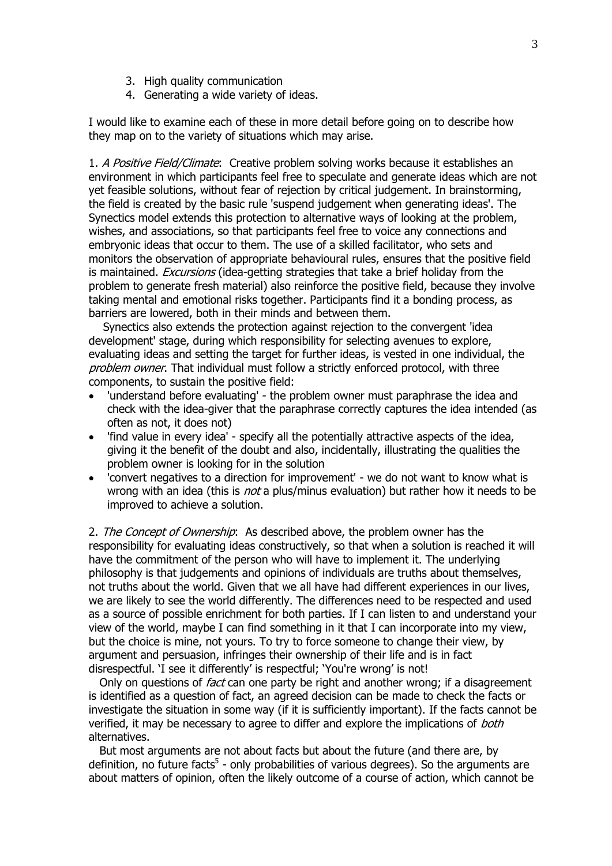- 3. High quality communication
- 4. Generating a wide variety of ideas.

I would like to examine each of these in more detail before going on to describe how they map on to the variety of situations which may arise.

1. A Positive Field/Climate: Creative problem solving works because it establishes an environment in which participants feel free to speculate and generate ideas which are not yet feasible solutions, without fear of rejection by critical judgement. In brainstorming, the field is created by the basic rule 'suspend judgement when generating ideas'. The Synectics model extends this protection to alternative ways of looking at the problem, wishes, and associations, so that participants feel free to voice any connections and embryonic ideas that occur to them. The use of a skilled facilitator, who sets and monitors the observation of appropriate behavioural rules, ensures that the positive field is maintained. *Excursions* (idea-getting strategies that take a brief holiday from the problem to generate fresh material) also reinforce the positive field, because they involve taking mental and emotional risks together. Participants find it a bonding process, as barriers are lowered, both in their minds and between them.

 Synectics also extends the protection against rejection to the convergent 'idea development' stage, during which responsibility for selecting avenues to explore, evaluating ideas and setting the target for further ideas, is vested in one individual, the problem owner. That individual must follow a strictly enforced protocol, with three components, to sustain the positive field:

- 'understand before evaluating' the problem owner must paraphrase the idea and check with the idea-giver that the paraphrase correctly captures the idea intended (as often as not, it does not)
- 'find value in every idea' specify all the potentially attractive aspects of the idea, giving it the benefit of the doubt and also, incidentally, illustrating the qualities the problem owner is looking for in the solution
- 'convert negatives to a direction for improvement' we do not want to know what is wrong with an idea (this is *not* a plus/minus evaluation) but rather how it needs to be improved to achieve a solution.

2. The Concept of Ownership: As described above, the problem owner has the responsibility for evaluating ideas constructively, so that when a solution is reached it will have the commitment of the person who will have to implement it. The underlying philosophy is that judgements and opinions of individuals are truths about themselves, not truths about the world. Given that we all have had different experiences in our lives, we are likely to see the world differently. The differences need to be respected and used as a source of possible enrichment for both parties. If I can listen to and understand your view of the world, maybe I can find something in it that I can incorporate into my view, but the choice is mine, not yours. To try to force someone to change their view, by argument and persuasion, infringes their ownership of their life and is in fact disrespectful. 'I see it differently' is respectful; 'You're wrong' is not!

Only on questions of *fact* can one party be right and another wrong; if a disagreement is identified as a question of fact, an agreed decision can be made to check the facts or investigate the situation in some way (if it is sufficiently important). If the facts cannot be verified, it may be necessary to agree to differ and explore the implications of both alternatives.

 But most arguments are not about facts but about the future (and there are, by definition, no future facts<sup>5</sup> - only probabilities of various degrees). So the arguments are about matters of opinion, often the likely outcome of a course of action, which cannot be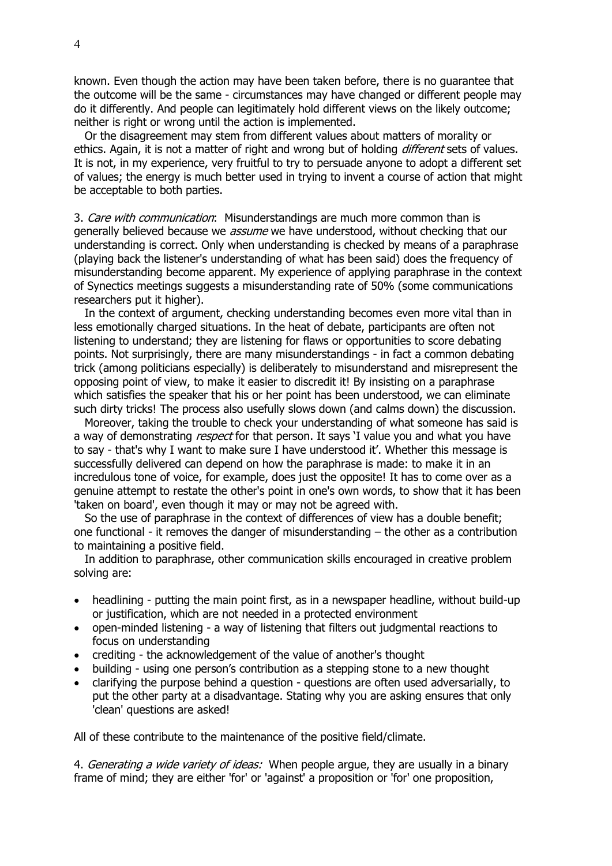known. Even though the action may have been taken before, there is no guarantee that the outcome will be the same - circumstances may have changed or different people may do it differently. And people can legitimately hold different views on the likely outcome; neither is right or wrong until the action is implemented.

 Or the disagreement may stem from different values about matters of morality or ethics. Again, it is not a matter of right and wrong but of holding *different* sets of values. It is not, in my experience, very fruitful to try to persuade anyone to adopt a different set of values; the energy is much better used in trying to invent a course of action that might be acceptable to both parties.

3. Care with communication: Misunderstandings are much more common than is generally believed because we *assume* we have understood, without checking that our understanding is correct. Only when understanding is checked by means of a paraphrase (playing back the listener's understanding of what has been said) does the frequency of misunderstanding become apparent. My experience of applying paraphrase in the context of Synectics meetings suggests a misunderstanding rate of 50% (some communications researchers put it higher).

 In the context of argument, checking understanding becomes even more vital than in less emotionally charged situations. In the heat of debate, participants are often not listening to understand; they are listening for flaws or opportunities to score debating points. Not surprisingly, there are many misunderstandings - in fact a common debating trick (among politicians especially) is deliberately to misunderstand and misrepresent the opposing point of view, to make it easier to discredit it! By insisting on a paraphrase which satisfies the speaker that his or her point has been understood, we can eliminate such dirty tricks! The process also usefully slows down (and calms down) the discussion.

 Moreover, taking the trouble to check your understanding of what someone has said is a way of demonstrating *respect* for that person. It says 'I value you and what you have to say - that's why I want to make sure I have understood it'. Whether this message is successfully delivered can depend on how the paraphrase is made: to make it in an incredulous tone of voice, for example, does just the opposite! It has to come over as a genuine attempt to restate the other's point in one's own words, to show that it has been 'taken on board', even though it may or may not be agreed with.

 So the use of paraphrase in the context of differences of view has a double benefit; one functional - it removes the danger of misunderstanding – the other as a contribution to maintaining a positive field.

 In addition to paraphrase, other communication skills encouraged in creative problem solving are:

- headlining putting the main point first, as in a newspaper headline, without build-up or justification, which are not needed in a protected environment
- open-minded listening a way of listening that filters out judgmental reactions to focus on understanding
- crediting the acknowledgement of the value of another's thought
- building using one person's contribution as a stepping stone to a new thought
- clarifying the purpose behind a question questions are often used adversarially, to put the other party at a disadvantage. Stating why you are asking ensures that only 'clean' questions are asked!

All of these contribute to the maintenance of the positive field/climate.

4. Generating a wide variety of ideas: When people argue, they are usually in a binary frame of mind; they are either 'for' or 'against' a proposition or 'for' one proposition,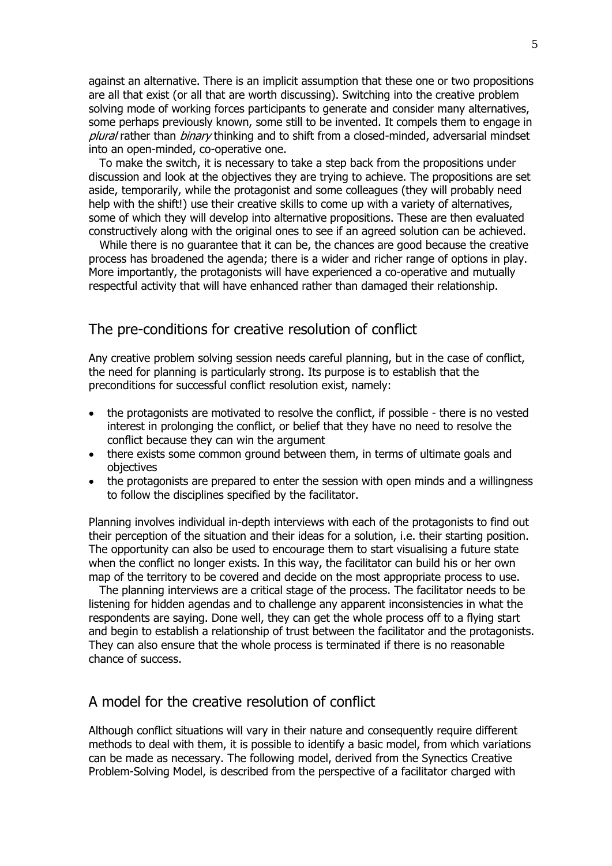against an alternative. There is an implicit assumption that these one or two propositions are all that exist (or all that are worth discussing). Switching into the creative problem solving mode of working forces participants to generate and consider many alternatives, some perhaps previously known, some still to be invented. It compels them to engage in plural rather than binary thinking and to shift from a closed-minded, adversarial mindset into an open-minded, co-operative one.

 To make the switch, it is necessary to take a step back from the propositions under discussion and look at the objectives they are trying to achieve. The propositions are set aside, temporarily, while the protagonist and some colleagues (they will probably need help with the shift!) use their creative skills to come up with a variety of alternatives, some of which they will develop into alternative propositions. These are then evaluated constructively along with the original ones to see if an agreed solution can be achieved.

 While there is no guarantee that it can be, the chances are good because the creative process has broadened the agenda; there is a wider and richer range of options in play. More importantly, the protagonists will have experienced a co-operative and mutually respectful activity that will have enhanced rather than damaged their relationship.

## The pre-conditions for creative resolution of conflict

Any creative problem solving session needs careful planning, but in the case of conflict, the need for planning is particularly strong. Its purpose is to establish that the preconditions for successful conflict resolution exist, namely:

- the protagonists are motivated to resolve the conflict, if possible there is no vested interest in prolonging the conflict, or belief that they have no need to resolve the conflict because they can win the argument
- there exists some common ground between them, in terms of ultimate goals and objectives
- the protagonists are prepared to enter the session with open minds and a willingness to follow the disciplines specified by the facilitator.

Planning involves individual in-depth interviews with each of the protagonists to find out their perception of the situation and their ideas for a solution, i.e. their starting position. The opportunity can also be used to encourage them to start visualising a future state when the conflict no longer exists. In this way, the facilitator can build his or her own map of the territory to be covered and decide on the most appropriate process to use.

 The planning interviews are a critical stage of the process. The facilitator needs to be listening for hidden agendas and to challenge any apparent inconsistencies in what the respondents are saying. Done well, they can get the whole process off to a flying start and begin to establish a relationship of trust between the facilitator and the protagonists. They can also ensure that the whole process is terminated if there is no reasonable chance of success.

## A model for the creative resolution of conflict

Although conflict situations will vary in their nature and consequently require different methods to deal with them, it is possible to identify a basic model, from which variations can be made as necessary. The following model, derived from the Synectics Creative Problem-Solving Model, is described from the perspective of a facilitator charged with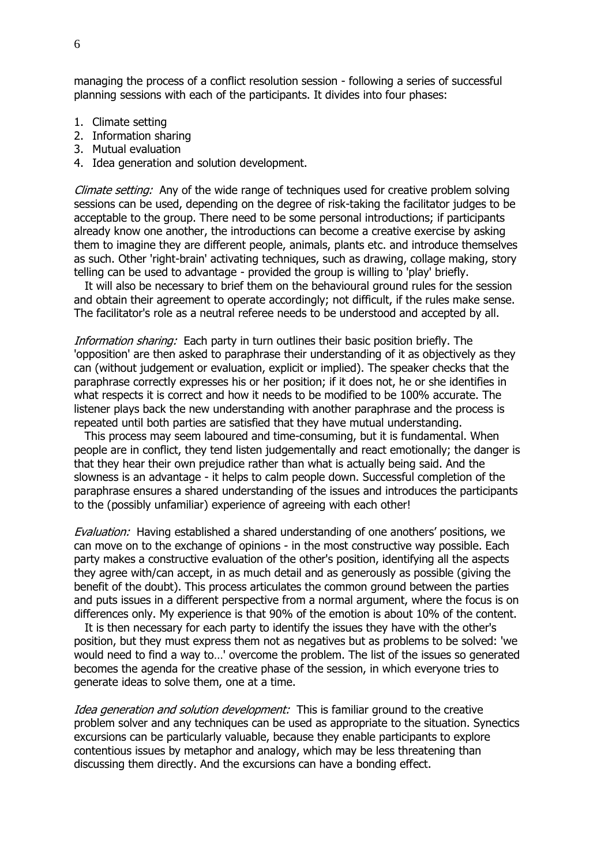managing the process of a conflict resolution session - following a series of successful planning sessions with each of the participants. It divides into four phases:

- 1. Climate setting
- 2. Information sharing
- 3. Mutual evaluation
- 4. Idea generation and solution development.

Climate setting: Any of the wide range of techniques used for creative problem solving sessions can be used, depending on the degree of risk-taking the facilitator judges to be acceptable to the group. There need to be some personal introductions; if participants already know one another, the introductions can become a creative exercise by asking them to imagine they are different people, animals, plants etc. and introduce themselves as such. Other 'right-brain' activating techniques, such as drawing, collage making, story telling can be used to advantage - provided the group is willing to 'play' briefly.

 It will also be necessary to brief them on the behavioural ground rules for the session and obtain their agreement to operate accordingly; not difficult, if the rules make sense. The facilitator's role as a neutral referee needs to be understood and accepted by all.

Information sharing: Each party in turn outlines their basic position briefly. The 'opposition' are then asked to paraphrase their understanding of it as objectively as they can (without judgement or evaluation, explicit or implied). The speaker checks that the paraphrase correctly expresses his or her position; if it does not, he or she identifies in what respects it is correct and how it needs to be modified to be 100% accurate. The listener plays back the new understanding with another paraphrase and the process is repeated until both parties are satisfied that they have mutual understanding.

 This process may seem laboured and time-consuming, but it is fundamental. When people are in conflict, they tend listen judgementally and react emotionally; the danger is that they hear their own prejudice rather than what is actually being said. And the slowness is an advantage - it helps to calm people down. Successful completion of the paraphrase ensures a shared understanding of the issues and introduces the participants to the (possibly unfamiliar) experience of agreeing with each other!

Evaluation: Having established a shared understanding of one anothers' positions, we can move on to the exchange of opinions - in the most constructive way possible. Each party makes a constructive evaluation of the other's position, identifying all the aspects they agree with/can accept, in as much detail and as generously as possible (giving the benefit of the doubt). This process articulates the common ground between the parties and puts issues in a different perspective from a normal argument, where the focus is on differences only. My experience is that 90% of the emotion is about 10% of the content.

 It is then necessary for each party to identify the issues they have with the other's position, but they must express them not as negatives but as problems to be solved: 'we would need to find a way to…' overcome the problem. The list of the issues so generated becomes the agenda for the creative phase of the session, in which everyone tries to generate ideas to solve them, one at a time.

Idea generation and solution development: This is familiar ground to the creative problem solver and any techniques can be used as appropriate to the situation. Synectics excursions can be particularly valuable, because they enable participants to explore contentious issues by metaphor and analogy, which may be less threatening than discussing them directly. And the excursions can have a bonding effect.